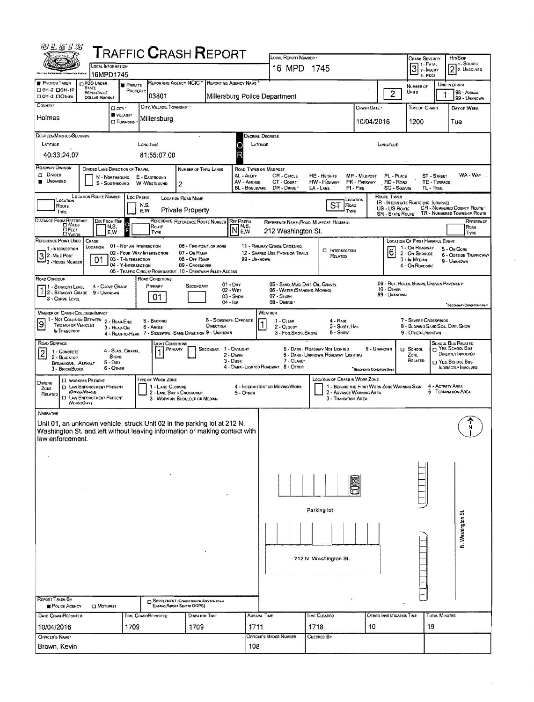| ゆえだりぶ                                                                                                                                                                                                                                  |                                                                                                                          |                     | <b>TRAFFIC CRASH REPORT</b>                                 |                                                                           |                                             |                                             |                                                                                                                                                                                                                                                                             |                                  |                |                                                     |                                                             |                                                |                                                             |  |  |  |  |  |
|----------------------------------------------------------------------------------------------------------------------------------------------------------------------------------------------------------------------------------------|--------------------------------------------------------------------------------------------------------------------------|---------------------|-------------------------------------------------------------|---------------------------------------------------------------------------|---------------------------------------------|---------------------------------------------|-----------------------------------------------------------------------------------------------------------------------------------------------------------------------------------------------------------------------------------------------------------------------------|----------------------------------|----------------|-----------------------------------------------------|-------------------------------------------------------------|------------------------------------------------|-------------------------------------------------------------|--|--|--|--|--|
|                                                                                                                                                                                                                                        | LOCAL INFORMATION<br>16MPD1745                                                                                           |                     |                                                             |                                                                           |                                             |                                             | LOCAL REPORT NUMBER -<br>16 MPD 1745                                                                                                                                                                                                                                        |                                  |                | Crash Severity<br>7 1 - FATAL<br>$\boxed{3}$ : MURY | HIT/SKIP<br>- I - SOLVED<br>$[2]$ <sub>2</sub> . Unsolved   |                                                |                                                             |  |  |  |  |  |
| PHOTOS TAKEN                                                                                                                                                                                                                           | <b>PDO UNDER</b><br><b>STATE</b>                                                                                         | <b>F</b> PRIVATE    |                                                             | REPORTING AGENCY NCIC <sup>*</sup>                                        | REPORTING AGENCY NAME                       |                                             |                                                                                                                                                                                                                                                                             |                                  |                | $3.$ PDO<br>NUMBER OF                               | UNIT IN ERROR                                               |                                                |                                                             |  |  |  |  |  |
| □ 0H-2 □ 0H-1P<br>□ OH -3 □ ОTHER                                                                                                                                                                                                      | REPORTABLE<br><b>DOLLAR AMOUNT</b>                                                                                       | PROPERTY            | 03801                                                       |                                                                           |                                             |                                             | Millersburg Police Department                                                                                                                                                                                                                                               |                                  | $\overline{2}$ | Units                                               |                                                             | 98 - Animal<br>99 - UNKNOWN                    |                                                             |  |  |  |  |  |
| COUNTY <sup>*</sup>                                                                                                                                                                                                                    | □ cirv ·<br>VILLAGE*                                                                                                     |                     | CITY, VILLAGE, TOWNSHIP .                                   |                                                                           |                                             |                                             |                                                                                                                                                                                                                                                                             |                                  | CRASH DATE .   | TIME OF CRASH                                       |                                                             | DAY OF WEEK                                    |                                                             |  |  |  |  |  |
| Holmes                                                                                                                                                                                                                                 |                                                                                                                          | <b>CI</b> TOWNSHIP  | Millersburg                                                 |                                                                           |                                             |                                             |                                                                                                                                                                                                                                                                             |                                  | 10/04/2016     |                                                     | 1200                                                        |                                                | Tue                                                         |  |  |  |  |  |
| DEGREES/MINUTES/SECONDS                                                                                                                                                                                                                |                                                                                                                          |                     |                                                             |                                                                           |                                             |                                             | Decimal Degrees                                                                                                                                                                                                                                                             |                                  |                |                                                     |                                                             |                                                |                                                             |  |  |  |  |  |
| LATITUDE                                                                                                                                                                                                                               |                                                                                                                          |                     | LONGITUDE                                                   |                                                                           |                                             | C                                           | LATITUDE<br>LONGITUDE                                                                                                                                                                                                                                                       |                                  |                |                                                     |                                                             |                                                |                                                             |  |  |  |  |  |
| 40:33:24.07<br>ROADWAY DIVISION                                                                                                                                                                                                        |                                                                                                                          |                     | 81:55:07.00                                                 |                                                                           |                                             |                                             |                                                                                                                                                                                                                                                                             |                                  |                |                                                     |                                                             |                                                |                                                             |  |  |  |  |  |
| <b>CI DIVIDED</b><br><b>UNDIVIDED</b>                                                                                                                                                                                                  | DIVIDED LANE DIRECTION OF TRAVEL<br>N - NORTHBOUND<br>S - SOUTHBOUND                                                     |                     | E - EASTBOUND<br>W-WESTBOUND                                | Number of Thru Lanes<br>2                                                 |                                             | AL - ALLEY<br>AV - AVENUE<br>BL - BOULEVARD | ROAD TYPES OR MILEPOST<br>WA - WAY<br>CR - CIRCLE<br>HE - HEIGHTS<br><b>MP - MILEPOST</b><br>PL - PLACE<br>ST - STREET<br>CT - Court<br><b>TE-TERRACE</b><br>HW - Highway<br>PK - PARKWAY<br>RD - Roap<br>DR - DRIVE<br>LA-LANE<br>$PI - PIKE$<br>SQ - SOUARE<br>TL - TRAIL |                                  |                |                                                     |                                                             |                                                |                                                             |  |  |  |  |  |
| LOCATION                                                                                                                                                                                                                               | <b>LOCATION ROUTE NUMBER</b>                                                                                             | Loc Prefix          |                                                             | <b>LOCATION ROAD NAME</b>                                                 |                                             |                                             |                                                                                                                                                                                                                                                                             |                                  | Location       | <b>ROUTE TYPES</b>                                  | IR - INTERSTATE ROUTE (INC. TURNPIKE)                       |                                                |                                                             |  |  |  |  |  |
| Route<br>TYPE                                                                                                                                                                                                                          |                                                                                                                          |                     | N,S,<br>E.W                                                 | <b>Private Property</b>                                                   |                                             |                                             |                                                                                                                                                                                                                                                                             | <b>ST</b><br>ROAD<br>TYPE        |                | US - US Route<br><b>SR - STATE ROUTE</b>            |                                                             |                                                | CR - NUMBERED COUNTY ROUTE®<br>TR - NUMBERED TOWNSHIP ROUTE |  |  |  |  |  |
| DISTANCE FROM REFERENCE<br>DIR FROM REF<br>REFERENCE REFERENCE ROUTE NUMBER<br><b>REF PREFIX</b><br>REFERENCE NAME (ROAD, MILEPOST, HOUSE #)<br>N,S,<br>N,S,<br>ROUTE<br>M<br><b>DFEET</b><br>212 Washington St.<br>E.W<br>E,W<br>TYPE |                                                                                                                          |                     |                                                             |                                                                           |                                             |                                             |                                                                                                                                                                                                                                                                             |                                  |                |                                                     |                                                             | REFERENCE<br>Roan<br>TYPE                      |                                                             |  |  |  |  |  |
| REFERENCE POINT USED<br>1-INTERSECTION                                                                                                                                                                                                 | CRASH<br>LOCATION                                                                                                        |                     | 01 - NOT AN INTERSECTION                                    | 05 - FIVE POINT, OR MORE                                                  |                                             |                                             | 11 - RAILWAY GRADE CROSSING                                                                                                                                                                                                                                                 | <b>EI</b> INTERSECTION           |                |                                                     | LOCATION OF FIRST HARMFUL EVENT<br>1 - On ROADWAY           | 5 - On GORE                                    |                                                             |  |  |  |  |  |
| $32$ -Mile Post<br>3 - House Number                                                                                                                                                                                                    | 01                                                                                                                       | 03 - T-Intensection | 02 - FOUR-WAY INTERSECTION                                  | 07 - On Ramp<br>08 - Off RAMP                                             |                                             | 99 - UNKNOWN                                | 12 - SHARED USE PATHS OR TRAILS                                                                                                                                                                                                                                             | RELATED                          |                | 6                                                   | 2 - On Shoulde<br>$3 - in$ Median                           | 9 - UNKNOWN                                    | <b>6 - OUTSIDE TRAFFICWAY</b>                               |  |  |  |  |  |
|                                                                                                                                                                                                                                        |                                                                                                                          | 04 - Y-INTERSECTION | 05 - TRAFFIC CIRCLE/ ROUNDABOUT 10 - DRIVEWAY/ ALLEY ACCESS | 09 - CROSSOVER                                                            |                                             |                                             |                                                                                                                                                                                                                                                                             |                                  |                |                                                     | 4 - On ROADSIDE                                             |                                                |                                                             |  |  |  |  |  |
| ROAD CONTOUR<br>1 - STRAIGHT LEVEL                                                                                                                                                                                                     | 4 - CURVE GRADE                                                                                                          |                     | ROAD CONDITIONS<br>Primary                                  | SECONDARY                                                                 | $01 - Drv$<br>02 - Wet                      |                                             | 05 - SAND, MUD, DIRT, OIL, GRAVEL<br>06 - WATER (STANDING, MOVING)                                                                                                                                                                                                          |                                  |                | 10 - OTHER                                          | 09 - RUT, HOLES, BUMPS, UNEVEN PAVEMENT                     |                                                |                                                             |  |  |  |  |  |
| 2 - Straight Grade<br>3 - CURVE LEVEL                                                                                                                                                                                                  | 9 - UNKNOWN                                                                                                              |                     | 01                                                          |                                                                           | $03 -$ SNDW<br>$04 -$ Ice                   |                                             | 07 - SLUSH<br>08 - DEBRIS                                                                                                                                                                                                                                                   |                                  |                | 99 - UNKNOWN                                        |                                                             |                                                |                                                             |  |  |  |  |  |
| <b>MANNER OF CRASH COLLISION/IMPACT</b>                                                                                                                                                                                                |                                                                                                                          |                     |                                                             |                                                                           |                                             |                                             | WEATHER                                                                                                                                                                                                                                                                     |                                  |                |                                                     |                                                             |                                                | <sup>6</sup> Sесскомяч Сомактом Ом. ч                       |  |  |  |  |  |
| 9<br><b>TWO MOTOR VEHICLES</b>                                                                                                                                                                                                         | 1 - NOT COLLISION BETWEEN 2 - REAR-END<br>3 - HEAD-ON                                                                    |                     | 5 - BACKING<br>6 - Angle                                    |                                                                           | <b>8 - SIDESWIPE, OPPOSITE</b><br>DIRECTION |                                             | 1 - CLEAR<br>2 - CLOUDY                                                                                                                                                                                                                                                     | $4 - R_{AlN}$<br>5 - SLEET, HAIL |                |                                                     | 7 - Severe Crosswinds<br>8 - Blowing Sand, Soil, Dirt, Snow |                                                |                                                             |  |  |  |  |  |
| IN TRANSPORT                                                                                                                                                                                                                           |                                                                                                                          |                     | 4 - REAR-TO-REAR 7 - SIDESWIPE, -SAME DIRECTION 9 - UNKNOWN |                                                                           |                                             |                                             | 3 - Fog, Smog, Smoke                                                                                                                                                                                                                                                        | 6 - Snow                         |                |                                                     | 9 - OTHER/UNKNOWN                                           |                                                |                                                             |  |  |  |  |  |
| ROAD SURFACE<br>$\overline{2}$<br>1 - CONCRETE                                                                                                                                                                                         | 4 - Slag, Gravel,                                                                                                        |                     | <b>LIGHT CONDITIONS</b><br>PRIMARY<br>11                    |                                                                           | SECONDAR 1 - DAYLIGHT                       |                                             |                                                                                                                                                                                                                                                                             | 5 - DARK - ROADWAY NOT LIGHTED   | 9 - UNKNOWN    |                                                     | <b>El School</b>                                            | <b>SCHOOL BUS RELATED</b><br>T YES, SCHOOL BUS |                                                             |  |  |  |  |  |
| 2 - BLACKTOP.<br><b>BITUMINOUS, ASPHALT</b><br>3 - BRICK/BLOCK                                                                                                                                                                         | <b>STONE</b><br>$5 -$ Dirt<br>6 - OTHER                                                                                  |                     |                                                             |                                                                           | 3 - Dusk                                    | 2 - DAWN                                    | DIRECTLY INVOLVED<br>6 - DARK - UNKNOWN ROADWAY LIGHTING<br>ZONE<br>7 - GLARE*<br>RELATED<br>T YES, SCHOOL BUS<br>4 - DARK - LIGHTED ROADWAY 8 - OTHER<br>INDIRECTLY INVOLVED<br><sup>*</sup> Secondary Coupman Only                                                        |                                  |                |                                                     |                                                             |                                                |                                                             |  |  |  |  |  |
| <b>OWORK</b><br>ZONE<br>RELATED                                                                                                                                                                                                        | <b>CI WORKERS PRESENT</b><br><b>CI LAW ENFORCEMENT PRESENT</b><br>(OFFICER/VEHICLE)<br><b>CI LAW ENFORCEMENT PRESENT</b> |                     | TYPE OF WORK ZONE<br>1 - LANE CLOSURE                       | 2 - LANE SHIFT/ CROSSOVER<br>3 - WORK ON SHOULDER OR MEDIAN               |                                             | $5 -$ OTHER                                 | LOCATION OF CRASH IN WORK ZONE<br>4 - ACTIVITY AREA<br>1 - BEFORE THE FIRST WORK ZONE WARNING SIGN<br>4 - INTERMITTENT OR MOVING WORK<br>5 - TERMINATION AREA<br>2 - ADVANCE WARNING AREA<br>3 - TRANSITION AREA                                                            |                                  |                |                                                     |                                                             |                                                |                                                             |  |  |  |  |  |
|                                                                                                                                                                                                                                        | (VEHOLEOMY)                                                                                                              |                     |                                                             |                                                                           |                                             |                                             |                                                                                                                                                                                                                                                                             |                                  |                |                                                     |                                                             |                                                |                                                             |  |  |  |  |  |
| <b>NARRATIVE</b><br>Unit 01, an unknown vehicle, struck Unit 02 in the parking lot at 212 N.<br>Washington St. and left without leaving information or making contact with<br>law enforcement.                                         |                                                                                                                          |                     |                                                             |                                                                           |                                             |                                             |                                                                                                                                                                                                                                                                             |                                  |                |                                                     |                                                             |                                                |                                                             |  |  |  |  |  |
|                                                                                                                                                                                                                                        |                                                                                                                          |                     |                                                             |                                                                           |                                             |                                             |                                                                                                                                                                                                                                                                             |                                  |                |                                                     |                                                             |                                                |                                                             |  |  |  |  |  |
|                                                                                                                                                                                                                                        |                                                                                                                          |                     |                                                             |                                                                           |                                             |                                             |                                                                                                                                                                                                                                                                             |                                  |                |                                                     |                                                             |                                                |                                                             |  |  |  |  |  |
|                                                                                                                                                                                                                                        |                                                                                                                          |                     |                                                             |                                                                           |                                             |                                             |                                                                                                                                                                                                                                                                             |                                  |                |                                                     |                                                             |                                                |                                                             |  |  |  |  |  |
|                                                                                                                                                                                                                                        |                                                                                                                          |                     |                                                             |                                                                           |                                             |                                             |                                                                                                                                                                                                                                                                             |                                  |                |                                                     |                                                             |                                                |                                                             |  |  |  |  |  |
|                                                                                                                                                                                                                                        |                                                                                                                          |                     |                                                             |                                                                           |                                             |                                             |                                                                                                                                                                                                                                                                             |                                  |                |                                                     |                                                             |                                                |                                                             |  |  |  |  |  |
|                                                                                                                                                                                                                                        |                                                                                                                          |                     |                                                             |                                                                           |                                             |                                             | Parking lot                                                                                                                                                                                                                                                                 |                                  |                |                                                     |                                                             |                                                |                                                             |  |  |  |  |  |
|                                                                                                                                                                                                                                        |                                                                                                                          |                     |                                                             |                                                                           |                                             | N. Washington St                            |                                                                                                                                                                                                                                                                             |                                  |                |                                                     |                                                             |                                                |                                                             |  |  |  |  |  |
|                                                                                                                                                                                                                                        |                                                                                                                          |                     |                                                             |                                                                           |                                             |                                             |                                                                                                                                                                                                                                                                             |                                  |                |                                                     |                                                             |                                                |                                                             |  |  |  |  |  |
|                                                                                                                                                                                                                                        |                                                                                                                          |                     |                                                             |                                                                           |                                             | 212 N. Washington St.                       |                                                                                                                                                                                                                                                                             |                                  |                |                                                     |                                                             |                                                |                                                             |  |  |  |  |  |
|                                                                                                                                                                                                                                        |                                                                                                                          |                     |                                                             |                                                                           |                                             |                                             |                                                                                                                                                                                                                                                                             |                                  |                |                                                     |                                                             |                                                |                                                             |  |  |  |  |  |
|                                                                                                                                                                                                                                        |                                                                                                                          |                     |                                                             |                                                                           |                                             |                                             |                                                                                                                                                                                                                                                                             |                                  |                |                                                     |                                                             |                                                |                                                             |  |  |  |  |  |
| <b>REPORT TAKEN BY</b><br>POLICE AGENCY                                                                                                                                                                                                | <b>D</b> MOTORIST                                                                                                        |                     |                                                             | SUPPLEMENT (CORRECTION OR ADDITION TO AN<br>Existing Report Sent to ODPS) |                                             |                                             |                                                                                                                                                                                                                                                                             |                                  |                |                                                     |                                                             |                                                |                                                             |  |  |  |  |  |
| DATE CRASHREPORTED                                                                                                                                                                                                                     |                                                                                                                          |                     | TIME CRASHREPORTED                                          | DISPATCH TIME                                                             |                                             |                                             | <b>ARRIVAL TIME</b>                                                                                                                                                                                                                                                         | TIME CLEARED                     |                | OTHER INVESTIGATION TIME                            |                                                             | <b>TOTAL MINUTES</b>                           |                                                             |  |  |  |  |  |
| 10/04/2016                                                                                                                                                                                                                             |                                                                                                                          | 1709                |                                                             | 1709                                                                      |                                             | 1711                                        |                                                                                                                                                                                                                                                                             | 1718                             | 10             |                                                     | 19                                                          |                                                |                                                             |  |  |  |  |  |
| OFFICER'S NAME*                                                                                                                                                                                                                        |                                                                                                                          |                     |                                                             |                                                                           |                                             |                                             | OFFICER'S BADGE NUMBER                                                                                                                                                                                                                                                      | CHECKED BY                       |                |                                                     |                                                             |                                                |                                                             |  |  |  |  |  |
| Brown, Kevin                                                                                                                                                                                                                           |                                                                                                                          |                     |                                                             |                                                                           |                                             | 108                                         |                                                                                                                                                                                                                                                                             |                                  |                |                                                     |                                                             |                                                |                                                             |  |  |  |  |  |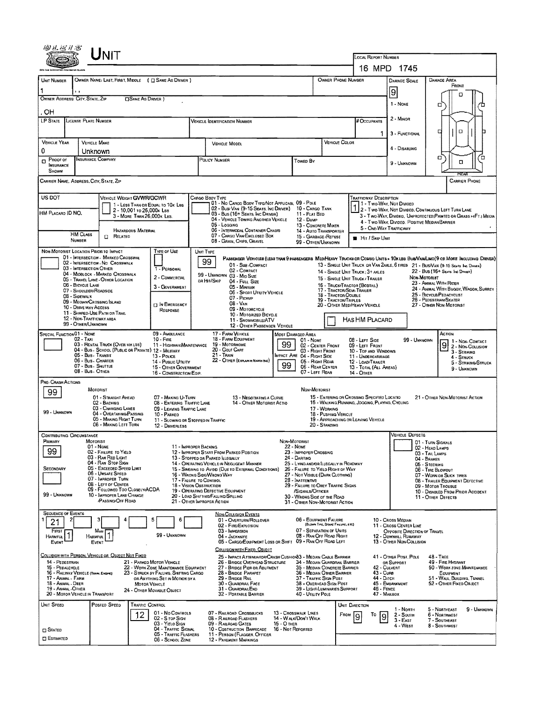|                                                                                                     | ${\sf UnIT}$                                                                                                                                                                                                                                                                                                                                                                                                                    |                                                                                                                                                                            |                                                                                                                                                                                                                                                                                                                                                                               |                                                                                                                                                                                                                                                                                                                              |                                                                                                                                                                                                       |                                                                                                                                                                                                                                                                |                                                                                                                                  |                                                                                                                                                                                                                                                                                                                                                                                                                           |  |  |  |  |
|-----------------------------------------------------------------------------------------------------|---------------------------------------------------------------------------------------------------------------------------------------------------------------------------------------------------------------------------------------------------------------------------------------------------------------------------------------------------------------------------------------------------------------------------------|----------------------------------------------------------------------------------------------------------------------------------------------------------------------------|-------------------------------------------------------------------------------------------------------------------------------------------------------------------------------------------------------------------------------------------------------------------------------------------------------------------------------------------------------------------------------|------------------------------------------------------------------------------------------------------------------------------------------------------------------------------------------------------------------------------------------------------------------------------------------------------------------------------|-------------------------------------------------------------------------------------------------------------------------------------------------------------------------------------------------------|----------------------------------------------------------------------------------------------------------------------------------------------------------------------------------------------------------------------------------------------------------------|----------------------------------------------------------------------------------------------------------------------------------|---------------------------------------------------------------------------------------------------------------------------------------------------------------------------------------------------------------------------------------------------------------------------------------------------------------------------------------------------------------------------------------------------------------------------|--|--|--|--|
|                                                                                                     |                                                                                                                                                                                                                                                                                                                                                                                                                                 |                                                                                                                                                                            |                                                                                                                                                                                                                                                                                                                                                                               |                                                                                                                                                                                                                                                                                                                              |                                                                                                                                                                                                       | LOCAL REPORT NUMBER                                                                                                                                                                                                                                            | 16 MPD 1745                                                                                                                      |                                                                                                                                                                                                                                                                                                                                                                                                                           |  |  |  |  |
| UNIT NUMBER                                                                                         | OWNER NAME: LAST, FIRST, MIDDLE ( EXAME AS DRIVER )                                                                                                                                                                                                                                                                                                                                                                             |                                                                                                                                                                            |                                                                                                                                                                                                                                                                                                                                                                               |                                                                                                                                                                                                                                                                                                                              | OWNER PHONE NUMBER                                                                                                                                                                                    |                                                                                                                                                                                                                                                                | DAMAGE SCALE                                                                                                                     | <b>DAMAGE AREA</b>                                                                                                                                                                                                                                                                                                                                                                                                        |  |  |  |  |
|                                                                                                     | $\cdots$                                                                                                                                                                                                                                                                                                                                                                                                                        |                                                                                                                                                                            |                                                                                                                                                                                                                                                                                                                                                                               |                                                                                                                                                                                                                                                                                                                              |                                                                                                                                                                                                       |                                                                                                                                                                                                                                                                | 9                                                                                                                                | FRONT<br>o                                                                                                                                                                                                                                                                                                                                                                                                                |  |  |  |  |
| OWNER ADDRESS: CITY, STATE, ZIP                                                                     | □ SAME AS DRIVER )                                                                                                                                                                                                                                                                                                                                                                                                              |                                                                                                                                                                            |                                                                                                                                                                                                                                                                                                                                                                               |                                                                                                                                                                                                                                                                                                                              |                                                                                                                                                                                                       |                                                                                                                                                                                                                                                                | 1 - NONE                                                                                                                         | □                                                                                                                                                                                                                                                                                                                                                                                                                         |  |  |  |  |
| OН<br>LP STATE                                                                                      | LICENSE PLATE NUMBER                                                                                                                                                                                                                                                                                                                                                                                                            |                                                                                                                                                                            | <b>VEHICLE IDENTIFICATION NUMBER</b>                                                                                                                                                                                                                                                                                                                                          |                                                                                                                                                                                                                                                                                                                              |                                                                                                                                                                                                       | <b># OCCUPANTS</b>                                                                                                                                                                                                                                             | 2 MINOR                                                                                                                          |                                                                                                                                                                                                                                                                                                                                                                                                                           |  |  |  |  |
|                                                                                                     |                                                                                                                                                                                                                                                                                                                                                                                                                                 |                                                                                                                                                                            |                                                                                                                                                                                                                                                                                                                                                                               |                                                                                                                                                                                                                                                                                                                              | 1.                                                                                                                                                                                                    | 3 - FUNCTIONAL                                                                                                                                                                                                                                                 | O<br>а                                                                                                                           |                                                                                                                                                                                                                                                                                                                                                                                                                           |  |  |  |  |
| <b>VEHICLE YEAR</b><br>0                                                                            | <b>VEHICLE MAKE</b><br>Unknown                                                                                                                                                                                                                                                                                                                                                                                                  |                                                                                                                                                                            | <b>VEHICLE MODEL</b>                                                                                                                                                                                                                                                                                                                                                          |                                                                                                                                                                                                                                                                                                                              | Vehicle Color                                                                                                                                                                                         |                                                                                                                                                                                                                                                                | 4 - DISABLING                                                                                                                    |                                                                                                                                                                                                                                                                                                                                                                                                                           |  |  |  |  |
| Proof of<br>$\Box$<br><b>INSURANCE</b><br>SHOWN                                                     | <b>INSURANCE COMPANY</b>                                                                                                                                                                                                                                                                                                                                                                                                        |                                                                                                                                                                            | POLICY NUMBER                                                                                                                                                                                                                                                                                                                                                                 | Towen By                                                                                                                                                                                                                                                                                                                     |                                                                                                                                                                                                       |                                                                                                                                                                                                                                                                | 9 - UNKNOWN                                                                                                                      | α<br>Έ<br>α                                                                                                                                                                                                                                                                                                                                                                                                               |  |  |  |  |
|                                                                                                     | CARRIER NAME, ADDRESS, CITY, STATE, ZIP                                                                                                                                                                                                                                                                                                                                                                                         |                                                                                                                                                                            |                                                                                                                                                                                                                                                                                                                                                                               |                                                                                                                                                                                                                                                                                                                              |                                                                                                                                                                                                       |                                                                                                                                                                                                                                                                |                                                                                                                                  | <b>CARRIER PHONE</b>                                                                                                                                                                                                                                                                                                                                                                                                      |  |  |  |  |
| US DOT<br>HM Placard ID NO.                                                                         | VEHICLE WEIGHT GVWR/GCWR<br>1 - LESS THAN OR EQUAL TO 10K LBS<br>2 - 10,001 to 26,000x Lss<br>3 - MORE THAN 26,000 K LBS.<br>HAZARDOUS MATERIAL<br><b>HM CLASS</b>                                                                                                                                                                                                                                                              |                                                                                                                                                                            | CARGO BODY TYPE<br>01 - No CARGO BODY TYPE/NOT APPLICABI, 09 - POLE<br>02 - Bust Van (9-15 Seats, Inc Driver)<br>03 - Bus (16+ Seats, Inc Driver)<br>04 - VEHICLE TOWING ANOTHER VEHICLE<br>05 - Logging<br>06 - INTERMODAL CONTAINER CHASIS                                                                                                                                  | 10 - CARGO TANK<br>11 - FLAT BED<br>12 - Duse<br>13 - CONCRETE MIXER<br>14 - Auto Transporter                                                                                                                                                                                                                                |                                                                                                                                                                                                       | <b>TRAFFICWAY DESCRIPTION</b><br>1 Two Way, Not Divided<br>2 - Two-Way, Not Divided, Continuous Left Turn Lane<br>3 - Two-WAY, DIVIDED, UNPROTECTED (PAINTED OR GRASS > 4FT.) MEOIA<br>4 - Two-WAY, DIVIDED, POSITIVE MEDIAN BARRIER<br>5 - ONE-WAY TRAFFICWAY |                                                                                                                                  |                                                                                                                                                                                                                                                                                                                                                                                                                           |  |  |  |  |
|                                                                                                     | <b>EL RELATED</b><br>NUMBER                                                                                                                                                                                                                                                                                                                                                                                                     |                                                                                                                                                                            | 07 - CARGO VAN/ENCLOSED BOX<br>08 - GRAIN, CHIPS, GRAVEL                                                                                                                                                                                                                                                                                                                      |                                                                                                                                                                                                                                                                                                                              | 15 - GARBAGE /REFUSE<br>99 - OTHER/UNKNOWN                                                                                                                                                            | <b>B</b> HIT / SKIP UNIT                                                                                                                                                                                                                                       |                                                                                                                                  |                                                                                                                                                                                                                                                                                                                                                                                                                           |  |  |  |  |
|                                                                                                     | NON-MOTORIST LOCATION PRIOR TO IMPACT<br>01 - INTERSECTION - MARKED CROSSWAL<br>02 - INTERSECTION - NO CROSSWALK<br>03 - INTERSECTION OTHER<br>04 - MIDBLOCK - MARKED CROSSWALK<br>05 - TRAVEL LANE - OTHER LOCATION<br>06 - BICYCLE LANE<br>07 - Shoulder/Roadside<br>08 - Sidewalk<br>09 - MEQIAN/CROSSING ISLAND<br>10 - DRIVE WAY ACCESS<br>11 - Shared Use Path or Trail<br>12 - NON-TRAFFICWAY AREA<br>99 - OTHER/UNKNOWN | TYPE OF USE<br>1 - PERSONAL<br>2 - COMMERCIAL<br>3 - GOVERNMENT<br><b>DIN EMERGENCY</b><br>RESPONSE                                                                        | UNIT TYPE<br>99<br>01 - Sue COMPACT<br>02 - COMPACT<br>99 - UNKNOWN 03 - MID SIZE<br>OR HIT/SKIP<br>04 - FULL SIZE<br>05 - Manyan<br>06 - Sport UTILITY VEHICLE<br>07 - PICKUP<br>08 - VAN<br>09 - MOTORCYCLE<br>10 - MOTORIZED BICYCLE<br>11 - SNOWMOBILE/ATV<br>12 - OTHER PASSENGER VEHICLE                                                                                |                                                                                                                                                                                                                                                                                                                              | 18 - TRACTOR/DOUBLE<br>19 - TRACTOR/TRIPLES                                                                                                                                                           | 14 - SINGLE UNIT TRUCK: 3+ AXLES<br>15 - SINGLE UNIT TRUCK / TRAILER<br>16 - Truck/Tractor (Bobtail)<br>17 - TRACTOR/SEMI-TRAILER<br>20 - OTHER MEDIHEAVY VEHICLE<br>HAS HM PLACARD                                                                            |                                                                                                                                  | PASSENGER VEHICLES (LESS THAN 9 PASSENGERS MEDIMEANY TRUCKS OR COMBO UNITS > 10K LES BUSIVAN/LIMO(9 OR MORE INCLUDING DRIVER)<br>13 - SINGLE UNIT TRUCK OR VAN ZAXLE, 6 TIRES 21 - BUS/VAN (9-15 SEATS INC DAMER)<br>22 - BUS (16+ Seats, Inc Daiver)<br>Non-Mororust<br>23 - ANIMAL WITH RIDER<br>24 - ANIMAL WITH BUGGY, WAGON, SURREY<br>25 - BICYCLE/PEDACYCLIST<br>26 - PEDESTRIAN/SKATER<br>27 - OTHER NON-MOTORIST |  |  |  |  |
| <b>SPECIAL FUNCTION 01 - NONE</b>                                                                   | $02 - T_{AM}$<br>03 - RENTAL TRUCK (OVER 10K LBS)<br>04 - BUS - SCHOOL (PUBLIC OR PRIVATE) 12 - MILITARY<br>05 - Bus - Transit<br>06 - Bus - Charter<br>07 - Bus - Shuttle<br>08 - Bus. OTHER                                                                                                                                                                                                                                   | 09 - AMBULANCE<br>$10 - F$ <sub>RE</sub><br>11 - HIGHWAY/MAINTENANCE<br>13 - POLICE<br>14 - Pesuc Unury<br>15 - OTHER GOVERNMENT<br>16 - CONSTRUCTION EQIP.                | 17 - FARM VEHICLE<br>18 - FARM EQUIPMENT<br>19 - Мотояноме<br>20 - GOLF CART<br>$21 -$ Train<br>22 - OTHER (EXPLAN IN NARRATIVE)                                                                                                                                                                                                                                              | MOST DAMAGED AREA<br>01 - None<br>99<br>02 - CENTER FRONT<br>03 - RIGHT FRONT<br>MPACT ARE 04 - RIGHT SIDE<br>05 - RIGHT REAR<br>99<br>06 - REAR CENTER<br>07 - LEFT REAR                                                                                                                                                    | 08 - LEFT SIDE<br>09 - LEFT FRONT<br>10 - TOP AND WINDOWS<br>11 - UNDERCARRIAGE<br>12 - LOAD/TRAILER<br>13 - TOTAL (ALL AREAS)<br><b>14 - OTHER</b>                                                   | 99 - Unknown                                                                                                                                                                                                                                                   | ACTION<br>1 - Non-Contact<br>9<br>2 - Non-Colusion<br>3 - STRIKING<br>4 - STRUCK<br>5 - STRIKING/STRUCK<br>9 - Unknown           |                                                                                                                                                                                                                                                                                                                                                                                                                           |  |  |  |  |
| PRE-CRASH ACTIONS<br>99                                                                             | MOTORIST                                                                                                                                                                                                                                                                                                                                                                                                                        |                                                                                                                                                                            |                                                                                                                                                                                                                                                                                                                                                                               |                                                                                                                                                                                                                                                                                                                              | NON-MOTORIST                                                                                                                                                                                          | 15 - ENTERING OR CROSSING SPECIFIED LOCATIO                                                                                                                                                                                                                    |                                                                                                                                  |                                                                                                                                                                                                                                                                                                                                                                                                                           |  |  |  |  |
| 99 - UNKNOWN                                                                                        | 01 - Straight Ahead<br>02 - Васкіна<br>03 - CHANGING LANES<br>04 - Overtaking Passing<br>05 - MAKING RIGHT TURN<br>06 - MAKING LEFT TURN                                                                                                                                                                                                                                                                                        | 07 - MAKING U-TURN<br>08 - ENTERING TRAFFIC LANE<br>09 - LEAVING TRAFFIC LANE<br>10 - PARKED<br>11 - SLOWING OR STOPPED IN TRAFFIC<br>12 - DRIVERLESS                      | 13 - Negotiating a Curve<br>14 - OTHER MOTORIST ACTIO                                                                                                                                                                                                                                                                                                                         |                                                                                                                                                                                                                                                                                                                              | 17 - WORKING<br>18 - Pushing Vehicle<br>20 - Standing                                                                                                                                                 | 16 - WALKING, RUNNING, JOGGING, PLAYING, CYCLING<br>19 - APPROACHING OR LEAVING VEHICLE                                                                                                                                                                        |                                                                                                                                  | 21 - OTHER NON-MOTORIST ACTION                                                                                                                                                                                                                                                                                                                                                                                            |  |  |  |  |
| <b>CONTRIBUTING CIRCUMSTANCE</b><br>PRIMARY                                                         | MOTORIST                                                                                                                                                                                                                                                                                                                                                                                                                        |                                                                                                                                                                            |                                                                                                                                                                                                                                                                                                                                                                               | NON-MOTORIST                                                                                                                                                                                                                                                                                                                 |                                                                                                                                                                                                       |                                                                                                                                                                                                                                                                | <b>VEHICLE DEFECTS</b>                                                                                                           | 01 - TURN SIGNALS                                                                                                                                                                                                                                                                                                                                                                                                         |  |  |  |  |
| 99<br>SECONDARY<br>99 - Unknown                                                                     | 01 - None<br>02 - FAILURE TO YIELD<br>03 - RAN RED LIGHT<br>04 - RAN STOP SIGN<br>05 - Exceeped Speed Limit<br>06 - Unsafe Speed<br>07 - IMPROPER TURN<br>08 - LEFT OF CENTER<br>09 - FOLLOWED TOO CLOSELY/ACDA<br>10 - IMPROPER LANE CHANGE<br>PASSING/OFF ROAD                                                                                                                                                                | 11 - IMPROPER BACKING                                                                                                                                                      | 12 - IMPROPER START FROM PARKED POSITION<br>13 - Stopped or Parked Llegally<br>14. - OPERATING VEHICLE IN NEGLIGENT MANNER<br>15 - Swering to Avoid (Due to External Conditions)<br>16 - WRONG SIDE/WRONG WAY<br>17 - FALURE TO CONTROL<br>18 - VISION OBSTRUCTION<br>19 - Operating Defective Equipment<br>20 - LOAD SHIFTING/FALLING/SPILLING<br>21 - OTHER IMPROPER ACTION | <b>22 - NONE</b><br>23 - IMPROPER CROSSING<br>24 - DARTING<br>25 - LYING AND/OR ILLEGALLY IN ROADWAY<br>26 - FALURE TO YIELD RIGHT OF WAY<br>27 - Not Visible (DARK CLOTHING)<br>28 - INATTENTIVE<br>29 - FAILURE TO OBEY TRAFFIC SIGNS<br>/SIGNALS/OFFICER<br>30 - WRONG SIDE OF THE ROAD<br>31 - OTHER NON-MOTORIST ACTION |                                                                                                                                                                                                       | 02 - HEAD LAMPS<br>03 - TAIL LAMPS<br>04 - BRAKES<br>05 - Steering<br>06 - TIRE BLOWOUT<br>07 - WORN OR SLICK TIRES<br>08 - TRALER EQUIPMENT DEFECTIVE<br>09 - MOTOR TROUBLE<br>10 - DISABLED FROM PRIOR ACCIDENT<br>11 - OTHER DEFECTS                        |                                                                                                                                  |                                                                                                                                                                                                                                                                                                                                                                                                                           |  |  |  |  |
| <b>SEQUENCE OF EVENTS</b><br>21<br>FIRST<br>1<br><b>HARMFUL</b><br>EVENT                            | з<br>Miast<br>Harmful<br>EVENT                                                                                                                                                                                                                                                                                                                                                                                                  | 5<br>6<br>99 - UNKNOWN                                                                                                                                                     | <b>NON-COLLISION EVENTS</b><br>01 - OVERTURN/ROLLOVER<br>02 - FIRE/EXPLOSION<br>03 - IMMERSION<br>04 - JACKKNIFE<br>05 - CARGO/EQUIPMENT LOSS OR SHIFT 09 - RAN OFF ROAD LEFT<br>COLLISION WITH FIXED, OBJECT                                                                                                                                                                 |                                                                                                                                                                                                                                                                                                                              | 06 - EQUIPMENT FAILURE<br>(BLOWN TIRE, BRAKE FALURE, ETC)<br>07 - SEPARATION OF UNITS<br>08 - RAN OFF ROAD RIGHT                                                                                      |                                                                                                                                                                                                                                                                | 10 - CROSS MEDIAN<br>11 - Cross Center Line<br>OPPOSITE DIRECTION OF TRAVEL<br>12 - DOWNHILL RUNAWAY<br>13 - OTHER NON-COLLISION |                                                                                                                                                                                                                                                                                                                                                                                                                           |  |  |  |  |
| 14 - PEDESTRIAN<br>15 - PEDALCYCLE<br>17 - Animal - Farm<br>18 - Andial - Deer<br>19 - ANIMAL-OTHER | COLLISION WITH PERSON, VEHICLE OR OBJECT NOT FIXED<br>16 - RAILWAY VEHICLE (TRAIN, ENGINE)<br><b>MOTOR VEHICLE</b><br>20 - MOTOR VEHICLE IN TRANSPORT                                                                                                                                                                                                                                                                           | 21 - PARKEO MOTOR VEHICLE<br>22 - WORK ZONE MAINTENANCE EQUIPMENT<br>23 - STRUCK BY FALLING, SHIFTING CARGO<br>OR ANYTHING SET IN MOTION BY A<br>24 - OTHER MOVABLE OBJECT | 25 - IMPACT ATTENUATOR/CRASH CUSHION33 - MEDIAN CABLE BARRIER<br>26 - BRIDGE OVERHEAD STRUCTURE<br>27 - BRIDGE PIER OR ABUTMENT<br>28 - BRIDGE PARAPET<br>29 - BRIDGE RAIL<br>30 - GUARDRAIL FACE<br>31 - GUARDRAILEND<br>32 - PORTABLE BARRIER                                                                                                                               |                                                                                                                                                                                                                                                                                                                              | 34 - MEOIAN GUARDRAIL BARRIER<br>35 - MEDIAN CONCRETE BARRIER<br>36 - Megian Other Barrier<br>37 - TRAFFIC SIGN POST<br>38 - OVERHEAD SIGN POST<br>39 - LIGHT/LUMINARIES SUPPORT<br>40 - Utility Pole | 43 - Curs<br>44 - Ditch<br>46 - FENCE                                                                                                                                                                                                                          | 41 - OTHER POST, POLE<br>OR SUPPORT<br>42 - CULVERT<br>45 - EMBANKMENT<br>47 - Malbox                                            | <b>48 - TREE</b><br>49 - FIRE HYDRANT<br>50 - WORK ZONE MAINTENANCE<br>EQUIPMENT<br>51 - WALL BUILDING, TUNNEL<br>52 - OTHER FIXED OBJECT                                                                                                                                                                                                                                                                                 |  |  |  |  |
| Unit Speed<br>$\Box$ Stated<br><b>ESTIMATED</b>                                                     | POSTED SPEED<br><b>TRAFFIC CONTROL</b><br>12                                                                                                                                                                                                                                                                                                                                                                                    | 01 - No CONTROLS<br>02 - S rop Sign<br>03 - Yielo Sign<br>04 - TRAFFIC SIGNAL<br>05 - TRAFFIC FLASHERS<br>06 - School Zone                                                 | 07 - RAILROAD CROSSBUCKS<br>08 - RAILROAD FLASHERS<br>09 - RAILROAD GATES<br>10 - COSTRUCTION BARRICADE<br>11 - PERSON (FLAGGER, OFFICER<br>12 - PAVEMENT MARKINGS                                                                                                                                                                                                            | 13 - CROSSWALK LINES<br>14 - WALK/DON'T WALK<br>$15 - O$ THER<br>16 - Not Reported                                                                                                                                                                                                                                           |                                                                                                                                                                                                       | UNIT DIRECTION<br>FROM<br>Τо<br>9                                                                                                                                                                                                                              | 1 - North<br>2 - South<br>$3 - EAST$<br>4 - West                                                                                 | 5 - Northeast<br>9 - Unknown<br>6 - Northwest<br>7 - SOUTHEAST<br>8 - SOUTHWEST                                                                                                                                                                                                                                                                                                                                           |  |  |  |  |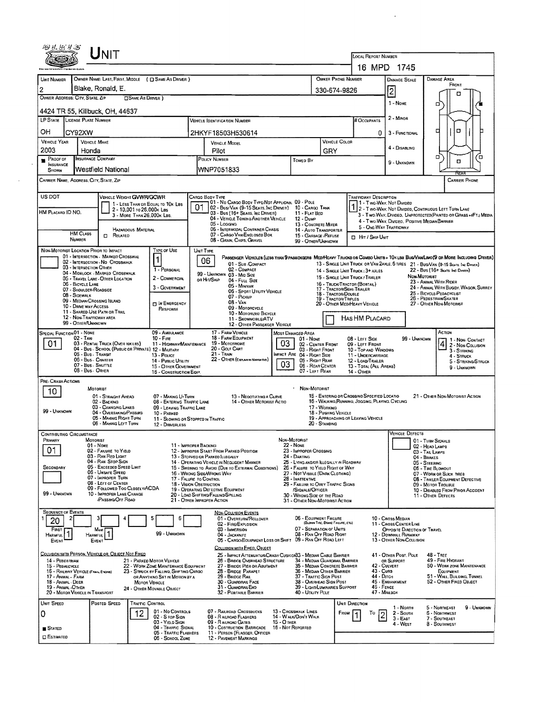|                                                                            |                                                           | $\sf U$ NIT                                                                            |                           |                                                                                |                                                                                                                                                          |                                                                                                 |                                               |                                              |                                                            |                                                         | <b>LOCAL REPORT NUMBER</b>                                                                                                   |                                                                                                                   |                                                                                                                               |             |  |  |
|----------------------------------------------------------------------------|-----------------------------------------------------------|----------------------------------------------------------------------------------------|---------------------------|--------------------------------------------------------------------------------|----------------------------------------------------------------------------------------------------------------------------------------------------------|-------------------------------------------------------------------------------------------------|-----------------------------------------------|----------------------------------------------|------------------------------------------------------------|---------------------------------------------------------|------------------------------------------------------------------------------------------------------------------------------|-------------------------------------------------------------------------------------------------------------------|-------------------------------------------------------------------------------------------------------------------------------|-------------|--|--|
|                                                                            |                                                           |                                                                                        |                           |                                                                                |                                                                                                                                                          |                                                                                                 |                                               |                                              |                                                            |                                                         |                                                                                                                              | 16 MPD 1745                                                                                                       |                                                                                                                               |             |  |  |
|                                                                            |                                                           |                                                                                        |                           |                                                                                |                                                                                                                                                          |                                                                                                 |                                               |                                              |                                                            |                                                         |                                                                                                                              |                                                                                                                   |                                                                                                                               |             |  |  |
| UNIT NUMBER                                                                |                                                           | OWNER NAME: LAST, FIRST, MIDDLE ( E) SAME AS DRIVER )                                  |                           |                                                                                |                                                                                                                                                          |                                                                                                 |                                               |                                              |                                                            | OWNER PHONE NUMBER                                      |                                                                                                                              | <b>DAMAGE SCALE</b>                                                                                               | DAMAGE AREA<br>FRONT                                                                                                          |             |  |  |
| 2                                                                          |                                                           | Blake, Ronald, E.                                                                      |                           |                                                                                |                                                                                                                                                          |                                                                                                 |                                               |                                              |                                                            | 330-674-9826                                            |                                                                                                                              | $\overline{2}$                                                                                                    |                                                                                                                               |             |  |  |
|                                                                            | OWNER ADDRESS: CITY, STATE, ZIP                           |                                                                                        | <b>CISAME AS DRIVER 1</b> |                                                                                |                                                                                                                                                          |                                                                                                 |                                               |                                              |                                                            |                                                         |                                                                                                                              | 1 - NONE                                                                                                          | ο                                                                                                                             |             |  |  |
|                                                                            |                                                           | 4424 TR 55, Killbuck, OH, 44637                                                        |                           |                                                                                |                                                                                                                                                          |                                                                                                 |                                               |                                              |                                                            |                                                         |                                                                                                                              |                                                                                                                   |                                                                                                                               |             |  |  |
|                                                                            | <b>LP STATE</b> LICENSE PLATE NUMBER                      |                                                                                        |                           |                                                                                |                                                                                                                                                          | <b>VEHICLE IDENTIFICATION NUMBER</b>                                                            |                                               |                                              |                                                            |                                                         | # Occupants                                                                                                                  | $2 -$ MINOR                                                                                                       |                                                                                                                               |             |  |  |
| OН                                                                         | CY92XW                                                    |                                                                                        |                           |                                                                                |                                                                                                                                                          | 2HKYF18503H530614                                                                               |                                               |                                              |                                                            |                                                         | 0                                                                                                                            | 3 - FUNCTIONAL                                                                                                    | O<br>□                                                                                                                        |             |  |  |
| <b>VEHICLE YEAR</b>                                                        | <b>VEHICLE MAKE</b>                                       |                                                                                        |                           |                                                                                |                                                                                                                                                          | <b>VEHICLE MODEL</b>                                                                            |                                               |                                              |                                                            | VEHICLE COLOR                                           |                                                                                                                              |                                                                                                                   |                                                                                                                               |             |  |  |
| 2003<br>Honda                                                              |                                                           |                                                                                        |                           |                                                                                | Pilot                                                                                                                                                    |                                                                                                 |                                               |                                              |                                                            | GRY                                                     |                                                                                                                              | 4 - DISABLING                                                                                                     |                                                                                                                               |             |  |  |
| <b>INSURANCE COMPANY</b><br>$P$ ROOF OF<br><b>INSURANCE</b>                |                                                           |                                                                                        |                           |                                                                                | POLICY NUMBER<br>Towen By                                                                                                                                |                                                                                                 |                                               |                                              |                                                            |                                                         |                                                                                                                              |                                                                                                                   | ۵<br>σ                                                                                                                        |             |  |  |
| SHOWN                                                                      |                                                           | Westfield National                                                                     |                           |                                                                                |                                                                                                                                                          | WNP7051833                                                                                      |                                               |                                              |                                                            |                                                         |                                                                                                                              |                                                                                                                   |                                                                                                                               |             |  |  |
|                                                                            | CARRIER NAME, ADDRESS, CITY, STATE, ZIP                   |                                                                                        |                           |                                                                                |                                                                                                                                                          |                                                                                                 |                                               |                                              |                                                            |                                                         |                                                                                                                              |                                                                                                                   | <b>CARRIER PHONE</b>                                                                                                          |             |  |  |
|                                                                            |                                                           |                                                                                        |                           |                                                                                |                                                                                                                                                          |                                                                                                 |                                               |                                              |                                                            |                                                         |                                                                                                                              |                                                                                                                   |                                                                                                                               |             |  |  |
| US DOT                                                                     |                                                           | VEHICLE WEIGHT GVWR/GCWR                                                               |                           | 1 - LESS THAN OR EQUAL TO 10K LBS                                              |                                                                                                                                                          | CARGO BODY TYPE<br>01 - No CARGO BODY TYPE/NOT APPLICABL 09 - POLE                              |                                               |                                              |                                                            |                                                         | <b>TRAFFICWAY DESCRIPTION</b><br>1 - Two-Way, Not Divideo                                                                    |                                                                                                                   |                                                                                                                               |             |  |  |
| HM PLACARD ID NO.                                                          |                                                           |                                                                                        | 2 - 10,001 ro 26,000k Les |                                                                                |                                                                                                                                                          | 01 02 - Bus/Van (9-15 Seats, Inc DRIVER) 10 - CARGO TANK<br>03 - Bus (16+ Seats, Inc DRIVER)    |                                               |                                              | 11 - FLAT BED                                              |                                                         |                                                                                                                              |                                                                                                                   | 2 - Two-Way, Not Divided, Continuous Left Turn Lane                                                                           |             |  |  |
| 3 - MORE THAN 26,000K LBS.<br><b>HAZARDOUS MATERIAL</b><br><b>HM CLASS</b> |                                                           |                                                                                        |                           |                                                                                | 04 - VEHICLE TOWING ANOTHER VEHICLE                                                                                                                      |                                                                                                 | 12 - Duse                                     |                                              |                                                            |                                                         |                                                                                                                              | 3 - Two WAY, DIVIDED, UNPROTECTED (PAINTED OR GRASS >4FT.) MEDIA<br>4 - Two-Way, Divideo, Positive Median Barrier |                                                                                                                               |             |  |  |
|                                                                            |                                                           |                                                                                        |                           |                                                                                | 05 - Logging<br>06 - INTERMODAL CONTAINER CHASIS                                                                                                         |                                                                                                 |                                               | 13 - CONCRETE MIXER<br>14 - AUTO TRANSPORTER |                                                            |                                                         | 5 - ONE-WAY TRAFFICWAY                                                                                                       |                                                                                                                   |                                                                                                                               |             |  |  |
|                                                                            | <b>NUMBER</b>                                             | O<br>RELATED                                                                           |                           |                                                                                |                                                                                                                                                          | 07 - CARGO VAN/ENGLOSED BOX<br>08 - GRAIN, CHIPS, GRAVEL                                        |                                               |                                              | 15 - GARBAGE /REFUSE<br>99 - OTHER/UNKNOWN                 |                                                         | <b>D</b> HIT / SKIP UNIT                                                                                                     |                                                                                                                   |                                                                                                                               |             |  |  |
|                                                                            | NON-MOTORIST LOCATION PRIOR TO IMPACT                     |                                                                                        |                           | TYPE OF USE                                                                    | UNIT TYPE                                                                                                                                                |                                                                                                 |                                               |                                              |                                                            |                                                         |                                                                                                                              |                                                                                                                   |                                                                                                                               |             |  |  |
|                                                                            |                                                           | 01 - INTERSECTION - MARKED CROSSWAL<br>02 - INTERSECTION - NO CROSSWALK                |                           |                                                                                | 06                                                                                                                                                       |                                                                                                 |                                               |                                              |                                                            |                                                         |                                                                                                                              |                                                                                                                   | PASSENGER VEHICLES (LESS THAN 9 PASSENGERS MEDIHEAVY TRUCKS OR COMBO UNITS > 10K LBS BUS/VAN/LIMO(9 OR MORE INCLUDING DRIVER) |             |  |  |
|                                                                            | 03 - INTERSECTION OTHER                                   |                                                                                        |                           | 1 - PERSONAL                                                                   |                                                                                                                                                          | 01 - Sun COMPACT<br>02 - COMPACT                                                                |                                               |                                              |                                                            |                                                         | 14 - SINGLE UNIT TRUCK: 3+ AXLES                                                                                             |                                                                                                                   | 13 - SINGLE UNIT TRUCK OR VAN ZAXLE, 6 TIRES 21 - BUS/VAN (9-15 SEATS, INC DAWER)<br>22 - BUS (16+ Seats, Inc Daven)          |             |  |  |
|                                                                            |                                                           | 04 - MIDBLOCK - MARKED CROSSWALK<br>05 - TRAVEL LANE - OTHER LOCATION                  |                           | 2 - COMMERCIAL                                                                 |                                                                                                                                                          | 99 - UNKNOWN 03 - MID SIZE<br>or Hit/Skip<br>04 - FULL SIZE                                     |                                               |                                              |                                                            |                                                         | NON-MOTORIST<br>15 - SINGLE UNIT TRUCK / TRAILER                                                                             |                                                                                                                   |                                                                                                                               |             |  |  |
|                                                                            | 06 - BICYCLE LANE<br>07 - SHOULDER/ROADSIDE               |                                                                                        |                           | 3 - GOVERNMENT                                                                 |                                                                                                                                                          | 05 - MINIVAN                                                                                    | 06 - SPORT UTILITY VEHICLE                    |                                              |                                                            |                                                         | 23 - ANIMAL WITH RIDER<br>16 - TRUCK/TRACTOR (BOBTAIL)<br>24 - ANIMAL WITH BUGGY, WAGON, SURREY<br>17 - TRACTOR/SEMI-TRAILER |                                                                                                                   |                                                                                                                               |             |  |  |
|                                                                            | 08 - Sidewalk<br>09 - MEDIAN/CROSSING ISLAND              |                                                                                        |                           |                                                                                |                                                                                                                                                          | 07 - PICKUP                                                                                     |                                               |                                              |                                                            | 18 - TRACTOR/DOUBLE<br>19 - TRACTOR/TRIPLES             |                                                                                                                              |                                                                                                                   | 25 - BICYCLE/PEDACYCLIST<br>26 - Pedestrian/Skater                                                                            |             |  |  |
|                                                                            | 10 - DRIVE WAY ACCESS                                     |                                                                                        |                           | <b>IN EMERGENCY</b><br>RESPONSE                                                |                                                                                                                                                          | $08 - VAN$<br>09 - MOTORCYCLE                                                                   |                                               |                                              |                                                            |                                                         | 27 - OTHER NON-MOTORIST<br>20 - OTHER MED/HEAVY VEHICLE                                                                      |                                                                                                                   |                                                                                                                               |             |  |  |
|                                                                            | 11 - SHARED-USE PATH OR TRAIL<br>12 - NON-TRAFFICWAY AREA |                                                                                        |                           |                                                                                |                                                                                                                                                          |                                                                                                 | 10 - MOTORIZED BICYCLE<br>11 - SNOWMOBILE/ATV |                                              |                                                            |                                                         | HAS HM PLACARD                                                                                                               |                                                                                                                   |                                                                                                                               |             |  |  |
|                                                                            | 99 - OTHER/UNKNOWN                                        |                                                                                        |                           |                                                                                |                                                                                                                                                          |                                                                                                 | 12 - OTHER PASSENGER VEHICLE                  |                                              |                                                            |                                                         |                                                                                                                              |                                                                                                                   |                                                                                                                               |             |  |  |
| SPECIAL FUNCTION 01 - NONE                                                 | 02 - Taxi                                                 |                                                                                        |                           | 09 - AMBULANCE<br>$10 -$ Fine                                                  |                                                                                                                                                          | 17 - FARM VEHICLE<br>18 - FARM EQUIPMENT                                                        |                                               | <b>MOST DAMAGED AREA</b>                     | 01 - NONE                                                  |                                                         | 08 - LEFT SIDE                                                                                                               | 99 - UNKNOWN                                                                                                      | ACTION                                                                                                                        |             |  |  |
| 01.                                                                        |                                                           | 03 - RENTAL TRUCK (OVER 10KLBS)<br>04 - Bus - School (Public or Private) 12 - Military |                           | 11 - HIGHWAY/MAINTENANCE                                                       |                                                                                                                                                          | 19 - MOTORHOME<br>20 - GOLF CART                                                                |                                               | 03                                           | 02 - CENTER FRONT                                          |                                                         | 09 - LEFT FRONT                                                                                                              |                                                                                                                   | 1 - Non-Contact<br>2 - Non-Colusion                                                                                           |             |  |  |
|                                                                            | 05 - Bus - Transit                                        |                                                                                        |                           | 13 - Pouce                                                                     |                                                                                                                                                          | 21 - Train                                                                                      |                                               | MPACT ARE 04 - RIGHT SIDE                    | 03 - RIGHT FRONT                                           |                                                         | 10 - TOP AND WINDOWS<br>11 - UNDERCARRIAGE                                                                                   |                                                                                                                   | 3 - STRIKING<br>4 - STRUCK                                                                                                    |             |  |  |
|                                                                            | 06 - Bus - Charter<br>07 - Bus - SHUTTLE                  |                                                                                        |                           | 14 - PUBLIC UTILITY<br>15 - OTHER GOVERNMENT                                   |                                                                                                                                                          | 22 - OTHER (EXPLANSY NARRATIVE)                                                                 |                                               | 03                                           | 05 - Right Rear<br>06 - REAR CENTER                        |                                                         | 12 - LOAD/TRAILER<br>13 - TOTAL (ALL AREAS)                                                                                  |                                                                                                                   | 5 - STRIKING/STRUCK<br>9 - UNKNOWN                                                                                            |             |  |  |
|                                                                            | 08 - Bus - OTHER                                          |                                                                                        |                           | 16 - CONSTRUCTION EQIP.                                                        |                                                                                                                                                          |                                                                                                 |                                               |                                              | 07 - LEFT REAR                                             |                                                         | 14 - Отнев                                                                                                                   |                                                                                                                   |                                                                                                                               |             |  |  |
| PRE- CRASH ACTIONS                                                         | MOTORIST                                                  |                                                                                        |                           |                                                                                |                                                                                                                                                          |                                                                                                 |                                               |                                              | NON-MOTORIST                                               |                                                         |                                                                                                                              |                                                                                                                   |                                                                                                                               |             |  |  |
| 10                                                                         |                                                           | 01 - STRAIGHT AHEAD                                                                    |                           | 07 - MAKING U-TURN                                                             |                                                                                                                                                          |                                                                                                 | 13 - Negotiating a Curve                      |                                              |                                                            |                                                         | 15 - ENTERING OR CROSSING SPECIFIED LOCATIO                                                                                  |                                                                                                                   | 21 - OTHER NON-MOTORIST ACTION                                                                                                |             |  |  |
|                                                                            |                                                           | 02 - BACKING<br>03 - CHANGING LANES                                                    |                           | <b>08 - ENTERING TRAFFIC LANE</b><br>09 - LEAVING TRAFFIC LANE                 | 14 - OTHER MOTORIST ACTIO<br>17 - WORKING                                                                                                                |                                                                                                 |                                               |                                              |                                                            |                                                         | 16 - WALKING, RUNNING, JOGGING, PLAYING, CYCLING                                                                             |                                                                                                                   |                                                                                                                               |             |  |  |
| 99 - UNKNOWN                                                               |                                                           | 04 - OVERTAKING/PASSING<br>05 - MAKING RIGHT TURN                                      |                           | 10 - PARKED                                                                    |                                                                                                                                                          |                                                                                                 |                                               |                                              | 18 - Pusinno Vencle                                        |                                                         |                                                                                                                              |                                                                                                                   |                                                                                                                               |             |  |  |
|                                                                            |                                                           | 06 - MAKING LEFT TURN                                                                  |                           | 11 - SLOWING OR STOPPED IN TRAFFIC<br>12 - DRIVERLESS                          |                                                                                                                                                          |                                                                                                 |                                               |                                              | 20 - STANDING                                              |                                                         | 19 - APPROACHING OR LEAVING VEHICLE                                                                                          |                                                                                                                   |                                                                                                                               |             |  |  |
|                                                                            | <b>CONTRIBUTING CIRCUMSTANCE</b>                          |                                                                                        |                           |                                                                                |                                                                                                                                                          |                                                                                                 |                                               |                                              |                                                            |                                                         |                                                                                                                              | <b>VEHICLE DEFECTS</b>                                                                                            |                                                                                                                               |             |  |  |
| PRIMARY                                                                    | Motorist                                                  | 01 - None                                                                              |                           | 11 - IMPROPER BACKING                                                          |                                                                                                                                                          |                                                                                                 |                                               | NON-MOTORIST<br>22 - NONE                    |                                                            |                                                         |                                                                                                                              |                                                                                                                   | 01 - TURN SIGNALS<br>02 - HEAD LAMPS                                                                                          |             |  |  |
| 01                                                                         |                                                           | 02 - FAILURE TO YIELD<br>03 - RAN RED LIGHT                                            |                           |                                                                                |                                                                                                                                                          | 12 - IMPROPER START FROM PARKED POSITION<br>13 - STOPPED OR PARKED LLEGALLY                     |                                               | 23 - Improper Crossing<br>24 - DARTING       |                                                            |                                                         |                                                                                                                              |                                                                                                                   | 03 - TAIL LAMPS                                                                                                               |             |  |  |
|                                                                            |                                                           | 04 - RAN STOP SIGN                                                                     |                           |                                                                                |                                                                                                                                                          | 14 - OPERATING VENICLE IN NEGLIGENT MANNER                                                      |                                               | 25 - LYING AND/OR ILLEGALLY IN ROADWAY       |                                                            |                                                         |                                                                                                                              |                                                                                                                   | 04 - BRAKES<br>05 - STEERING                                                                                                  |             |  |  |
| SECONDARY                                                                  |                                                           | 05 - Exceeped Speed LIMIT<br>06 - Unsafe Speed                                         |                           |                                                                                | 15 - Swering to Avoid (Due to External Conditions)<br>26 - FALURE TO YIELD RIGHT OF WAY<br>16 - WRONG SIDEANRONG WAY<br>27 - NOT VISIBLE (DARK CLOTHING) |                                                                                                 |                                               |                                              |                                                            |                                                         | 05 - TIRE BLOWOUT<br>07 - WORN OR SLICK TIRES                                                                                |                                                                                                                   |                                                                                                                               |             |  |  |
|                                                                            |                                                           | 07 - IMPROPER TURN<br>08 - LEFT OF CENTER                                              |                           |                                                                                | 17 - FALURE TO CONTROL<br>28 - INATTENTIVE<br>29 - FAILURE TO OBEY TRAFFIC SIGNS<br>18 - VISION OBSTRUCTION                                              |                                                                                                 |                                               |                                              |                                                            |                                                         | 08 - TRAILER EQUIPMENT DEFECTIVE<br>09 - MOTOR TROUBLE                                                                       |                                                                                                                   |                                                                                                                               |             |  |  |
| 99 - UNKNOWN                                                               |                                                           | 09 - Followed Too Closely/ACDA<br>10 - IMPROPER LANE CHANGE                            |                           |                                                                                | 19 - OPERATING DEFECTIVE EQUIPMENT<br>/SIGNALS/OFFICER<br>20 - LOAD SHIFTING/FALLING/SPILLING<br>30 - WRONG SIDE OF THE ROAD                             |                                                                                                 |                                               |                                              |                                                            | 10 - DISABLED FROM PRIOR ACCIDENT<br>11 - OTHER DEFECTS |                                                                                                                              |                                                                                                                   |                                                                                                                               |             |  |  |
|                                                                            |                                                           | PASSING/OFF ROAD                                                                       |                           |                                                                                |                                                                                                                                                          | 21 - OTHER IMPROPER ACTION                                                                      |                                               | 31 - OTHER NON-MOTORIST ACTION               |                                                            |                                                         |                                                                                                                              |                                                                                                                   |                                                                                                                               |             |  |  |
| <b>SEQUENCE OF EVENTS</b>                                                  |                                                           |                                                                                        |                           |                                                                                |                                                                                                                                                          | <b>NON-COLLISION EVENTS</b>                                                                     |                                               |                                              |                                                            |                                                         |                                                                                                                              |                                                                                                                   |                                                                                                                               |             |  |  |
| 20                                                                         |                                                           | з                                                                                      | 5                         | 6                                                                              |                                                                                                                                                          | 01 - OVERTURN/ROLLOVER<br>02 - FIRE/EXPLOSION                                                   |                                               |                                              | 06 - EQUIPMENT FAILURE<br>(BLOWN TIRE, BRAKE FAILURE, ETC) |                                                         |                                                                                                                              | 10 - Cross Median<br>11 - CROSS CENTER LINE                                                                       |                                                                                                                               |             |  |  |
| FIRST [                                                                    |                                                           | Most                                                                                   |                           | 99 - UNKNOWN                                                                   |                                                                                                                                                          | 03 - IMMERSION                                                                                  |                                               |                                              | 07 - SEPARATION OF UNITS                                   |                                                         |                                                                                                                              | OPPOSITE DIRECTION OF TRAVEL                                                                                      |                                                                                                                               |             |  |  |
| HARMFUL <sup>1</sup><br>Event                                              | Harmfu <b>l I</b><br>EVENT                                |                                                                                        |                           |                                                                                |                                                                                                                                                          | 04 - JACKKNIFE<br>05 - CARGO/EQUIPMENT LOSS OR SHIFT 09 - RAN OFF ROAD LEFT                     |                                               |                                              | 08 - RAN OFF ROAD RIGHT                                    |                                                         |                                                                                                                              | 12 - DOWNHILL RUNAWAY<br>13 - OTHER NON-COLLISION                                                                 |                                                                                                                               |             |  |  |
|                                                                            |                                                           |                                                                                        |                           |                                                                                |                                                                                                                                                          | COLLISION WITH EIXED, OBJECT                                                                    |                                               |                                              |                                                            |                                                         |                                                                                                                              |                                                                                                                   |                                                                                                                               |             |  |  |
| 14 - PEDESTRIAN                                                            |                                                           | COLUSION WITH PERSON, VEHICLE OR OBJECT NOT FIXED                                      | 21 - Раякер Мотов Уенкце  |                                                                                |                                                                                                                                                          | 25 - IMPACT ATTENUATOR/CRASH CUSHIOR33 - MEDIAN CABLE BARRIER<br>26 - BRIDGE OVERHEAD STRUCTURE |                                               |                                              | 34 - MEDIAN GUARDRAIL BARRIER                              |                                                         |                                                                                                                              | 41 - OTHER POST, POLE<br>OR SUPPORT                                                                               | $48 - T$ REE<br>49 - FIRE HYDRANT                                                                                             |             |  |  |
| 15 - PEDALCYCLE                                                            | 16 - RAILWAY VEHICLE (TRAIN, ENDINE)                      |                                                                                        |                           | 22 - WORK ZONE MAINTENANCE EQUIPMENT<br>23 - STRUCK BY FALLING, SHIFTING CARGO |                                                                                                                                                          | 27 - BRIDGE PIER OR ABUTMENT<br>28 - BRIDGE PARAPET                                             |                                               |                                              | 35 - MEDIAN CONCRETE BARRIER<br>36 - MEDIAN OTHER BARRIER  |                                                         | 43 - CuRS                                                                                                                    | 42 - CULVERT                                                                                                      | 50 - WORK ZONE MAINTENANCE<br>EQUIPMENT                                                                                       |             |  |  |
| 17 - Animal - Farm                                                         |                                                           |                                                                                        |                           | OR ANYTHING SET IN MOTION BY A                                                 |                                                                                                                                                          | 29 - BRIDGE RAIL                                                                                |                                               |                                              | 37 - Traffic Sign Post                                     |                                                         | 44 - Опси                                                                                                                    |                                                                                                                   | 51 - WALL, BUILDING, TUNNEL                                                                                                   |             |  |  |
| 18 - Animal Deer<br>19 - Animal -Other                                     |                                                           |                                                                                        | <b>MOTOR VEHICLE</b>      | 24 - OTHER MOVABLE OBJECT                                                      |                                                                                                                                                          | 30 - GUARDRAIL FACE<br>31 - GUARDRAILEND                                                        |                                               |                                              | 38 - OVERHEAD SIGN POST<br>39 - LIGHT/LUMINARIES SUPPORT   |                                                         | 46 - FENCE                                                                                                                   | 45 - EMBANKMENT                                                                                                   | 52 - OTHER FIXED OBJECT                                                                                                       |             |  |  |
|                                                                            | 20 - MOTOR VEHICLE IN TRANSPORT                           |                                                                                        |                           |                                                                                |                                                                                                                                                          | 32 - PORTABLE BARRIER                                                                           |                                               |                                              | 40 - Unury PoLE                                            |                                                         |                                                                                                                              | 47 - MAILBOX                                                                                                      |                                                                                                                               |             |  |  |
| UNIT SPEED                                                                 |                                                           | POSTED SPEED                                                                           | <b>TRAFFIC CONTROL</b>    |                                                                                |                                                                                                                                                          |                                                                                                 |                                               |                                              |                                                            |                                                         | <b>UNIT DIRECTION</b>                                                                                                        | 1 - North                                                                                                         | 5 - Northeast                                                                                                                 | 9 - Unknown |  |  |
| 0                                                                          |                                                           |                                                                                        | 12                        | 01 - No CONTROLS<br>02 - S TOP SIGN                                            |                                                                                                                                                          | 07 - RAILROAD CROSSBUCKS<br>08 - RAILROAD FLASHERS                                              |                                               | 13 - Crosswalk Lines<br>14 - Walk/Don't Walk |                                                            | FROM                                                    | To<br>$\overline{2}$                                                                                                         | $2 -$ South<br>$3 - E$ AST                                                                                        | <b>6 - NORTHWEST</b><br>7 - SOUTHEAST                                                                                         |             |  |  |
| <b>STATED</b>                                                              |                                                           |                                                                                        |                           | 03 - Yield Sign<br>04 - TRAFFIC SIGNAL                                         |                                                                                                                                                          | 09 - RALROAD GATES<br>10 - COSTRUCTION BARRICADE                                                |                                               | 15 - O THER<br>15 - Not Reported             |                                                            |                                                         |                                                                                                                              | 4 - West                                                                                                          | 8 - SOUTHWEST                                                                                                                 |             |  |  |
| <b>C ESTIMATED</b>                                                         |                                                           |                                                                                        |                           | 05 - TRAFFIC FLASHERS                                                          |                                                                                                                                                          | 11 - PERSON (FLAGGER, OFFICER                                                                   |                                               |                                              |                                                            |                                                         |                                                                                                                              |                                                                                                                   |                                                                                                                               |             |  |  |
|                                                                            |                                                           |                                                                                        |                           | 06 - School Zone                                                               |                                                                                                                                                          | 12 - PAVEMENT MARKINGS                                                                          |                                               |                                              |                                                            |                                                         |                                                                                                                              |                                                                                                                   |                                                                                                                               |             |  |  |

 $\mathcal{L}^{\text{max}}$  ,  $\mathcal{L}^{\text{max}}$